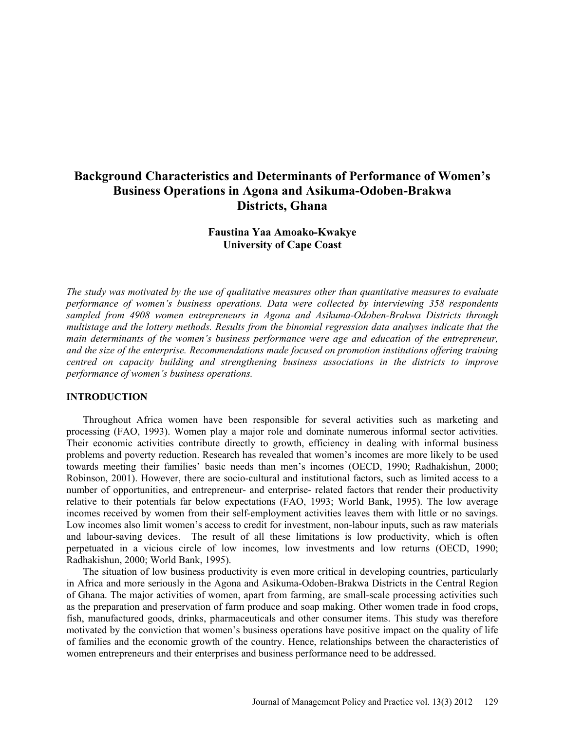## **Background Characteristics and Determinants of Performance of Women's Business Operations in Agona and Asikuma-Odoben-Brakwa Districts, Ghana**

## **Faustina Yaa Amoako-Kwakye University of Cape Coast**

*The study was motivated by the use of qualitative measures other than quantitative measures to evaluate performance of women's business operations. Data were collected by interviewing 358 respondents sampled from 4908 women entrepreneurs in Agona and Asikuma-Odoben-Brakwa Districts through multistage and the lottery methods. Results from the binomial regression data analyses indicate that the main determinants of the women's business performance were age and education of the entrepreneur, and the size of the enterprise. Recommendations made focused on promotion institutions offering training centred on capacity building and strengthening business associations in the districts to improve performance of women's business operations.*

#### **INTRODUCTION**

Throughout Africa women have been responsible for several activities such as marketing and processing (FAO, 1993). Women play a major role and dominate numerous informal sector activities. Their economic activities contribute directly to growth, efficiency in dealing with informal business problems and poverty reduction. Research has revealed that women's incomes are more likely to be used towards meeting their families' basic needs than men's incomes (OECD, 1990; Radhakishun, 2000; Robinson, 2001). However, there are socio-cultural and institutional factors, such as limited access to a number of opportunities, and entrepreneur- and enterprise- related factors that render their productivity relative to their potentials far below expectations (FAO, 1993; World Bank, 1995). The low average incomes received by women from their self-employment activities leaves them with little or no savings. Low incomes also limit women's access to credit for investment, non-labour inputs, such as raw materials and labour-saving devices. The result of all these limitations is low productivity, which is often perpetuated in a vicious circle of low incomes, low investments and low returns (OECD, 1990; Radhakishun, 2000; World Bank, 1995).

The situation of low business productivity is even more critical in developing countries, particularly in Africa and more seriously in the Agona and Asikuma-Odoben-Brakwa Districts in the Central Region of Ghana. The major activities of women, apart from farming, are small-scale processing activities such as the preparation and preservation of farm produce and soap making. Other women trade in food crops, fish, manufactured goods, drinks, pharmaceuticals and other consumer items. This study was therefore motivated by the conviction that women's business operations have positive impact on the quality of life of families and the economic growth of the country. Hence, relationships between the characteristics of women entrepreneurs and their enterprises and business performance need to be addressed.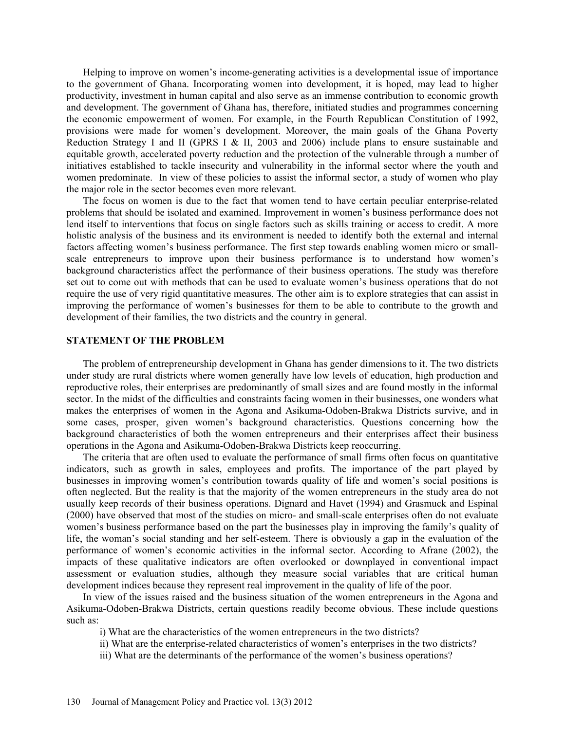Helping to improve on women's income-generating activities is a developmental issue of importance to the government of Ghana. Incorporating women into development, it is hoped, may lead to higher productivity, investment in human capital and also serve as an immense contribution to economic growth and development. The government of Ghana has, therefore, initiated studies and programmes concerning the economic empowerment of women. For example, in the Fourth Republican Constitution of 1992, provisions were made for women's development. Moreover, the main goals of the Ghana Poverty Reduction Strategy I and II (GPRS I & II, 2003 and 2006) include plans to ensure sustainable and equitable growth, accelerated poverty reduction and the protection of the vulnerable through a number of initiatives established to tackle insecurity and vulnerability in the informal sector where the youth and women predominate. In view of these policies to assist the informal sector, a study of women who play the major role in the sector becomes even more relevant.

The focus on women is due to the fact that women tend to have certain peculiar enterprise-related problems that should be isolated and examined. Improvement in women's business performance does not lend itself to interventions that focus on single factors such as skills training or access to credit. A more holistic analysis of the business and its environment is needed to identify both the external and internal factors affecting women's business performance. The first step towards enabling women micro or smallscale entrepreneurs to improve upon their business performance is to understand how women's background characteristics affect the performance of their business operations. The study was therefore set out to come out with methods that can be used to evaluate women's business operations that do not require the use of very rigid quantitative measures. The other aim is to explore strategies that can assist in improving the performance of women's businesses for them to be able to contribute to the growth and development of their families, the two districts and the country in general.

#### **STATEMENT OF THE PROBLEM**

The problem of entrepreneurship development in Ghana has gender dimensions to it. The two districts under study are rural districts where women generally have low levels of education, high production and reproductive roles, their enterprises are predominantly of small sizes and are found mostly in the informal sector. In the midst of the difficulties and constraints facing women in their businesses, one wonders what makes the enterprises of women in the Agona and Asikuma-Odoben-Brakwa Districts survive, and in some cases, prosper, given women's background characteristics. Questions concerning how the background characteristics of both the women entrepreneurs and their enterprises affect their business operations in the Agona and Asikuma-Odoben-Brakwa Districts keep reoccurring.

The criteria that are often used to evaluate the performance of small firms often focus on quantitative indicators, such as growth in sales, employees and profits. The importance of the part played by businesses in improving women's contribution towards quality of life and women's social positions is often neglected. But the reality is that the majority of the women entrepreneurs in the study area do not usually keep records of their business operations. Dignard and Havet (1994) and Grasmuck and Espinal (2000) have observed that most of the studies on micro- and small-scale enterprises often do not evaluate women's business performance based on the part the businesses play in improving the family's quality of life, the woman's social standing and her self-esteem. There is obviously a gap in the evaluation of the performance of women's economic activities in the informal sector. According to Afrane (2002), the impacts of these qualitative indicators are often overlooked or downplayed in conventional impact assessment or evaluation studies, although they measure social variables that are critical human development indices because they represent real improvement in the quality of life of the poor.

In view of the issues raised and the business situation of the women entrepreneurs in the Agona and Asikuma-Odoben-Brakwa Districts, certain questions readily become obvious. These include questions such as:

- i) What are the characteristics of the women entrepreneurs in the two districts?
- ii) What are the enterprise-related characteristics of women's enterprises in the two districts?
- iii) What are the determinants of the performance of the women's business operations?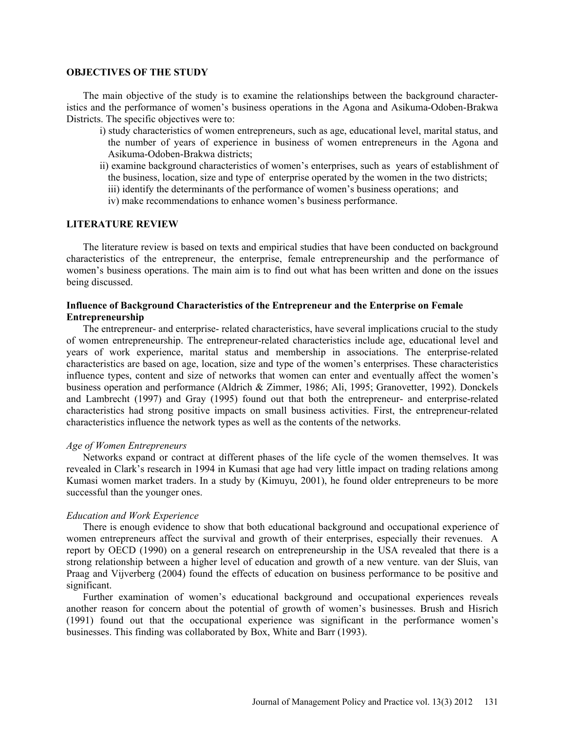#### **OBJECTIVES OF THE STUDY**

The main objective of the study is to examine the relationships between the background characteristics and the performance of women's business operations in the Agona and Asikuma-Odoben-Brakwa Districts. The specific objectives were to:

- i) study characteristics of women entrepreneurs, such as age, educational level, marital status, and the number of years of experience in business of women entrepreneurs in the Agona and Asikuma-Odoben-Brakwa districts;
- ii) examine background characteristics of women's enterprises, such as years of establishment of the business, location, size and type of enterprise operated by the women in the two districts;
	- iii) identify the determinants of the performance of women's business operations; and
	- iv) make recommendations to enhance women's business performance.

## **LITERATURE REVIEW**

The literature review is based on texts and empirical studies that have been conducted on background characteristics of the entrepreneur, the enterprise, female entrepreneurship and the performance of women's business operations. The main aim is to find out what has been written and done on the issues being discussed.

## **Influence of Background Characteristics of the Entrepreneur and the Enterprise on Female Entrepreneurship**

The entrepreneur- and enterprise- related characteristics, have several implications crucial to the study of women entrepreneurship. The entrepreneur-related characteristics include age, educational level and years of work experience, marital status and membership in associations. The enterprise-related characteristics are based on age, location, size and type of the women's enterprises. These characteristics influence types, content and size of networks that women can enter and eventually affect the women's business operation and performance (Aldrich & Zimmer, 1986; Ali, 1995; Granovetter, 1992). Donckels and Lambrecht (1997) and Gray (1995) found out that both the entrepreneur- and enterprise-related characteristics had strong positive impacts on small business activities. First, the entrepreneur-related characteristics influence the network types as well as the contents of the networks.

#### *Age of Women Entrepreneurs*

Networks expand or contract at different phases of the life cycle of the women themselves. It was revealed in Clark's research in 1994 in Kumasi that age had very little impact on trading relations among Kumasi women market traders. In a study by (Kimuyu, 2001), he found older entrepreneurs to be more successful than the younger ones.

#### *Education and Work Experience*

There is enough evidence to show that both educational background and occupational experience of women entrepreneurs affect the survival and growth of their enterprises, especially their revenues. A report by OECD (1990) on a general research on entrepreneurship in the USA revealed that there is a strong relationship between a higher level of education and growth of a new venture. van der Sluis, van Praag and Vijverberg (2004) found the effects of education on business performance to be positive and significant.

Further examination of women's educational background and occupational experiences reveals another reason for concern about the potential of growth of women's businesses. Brush and Hisrich (1991) found out that the occupational experience was significant in the performance women's businesses. This finding was collaborated by Box, White and Barr (1993).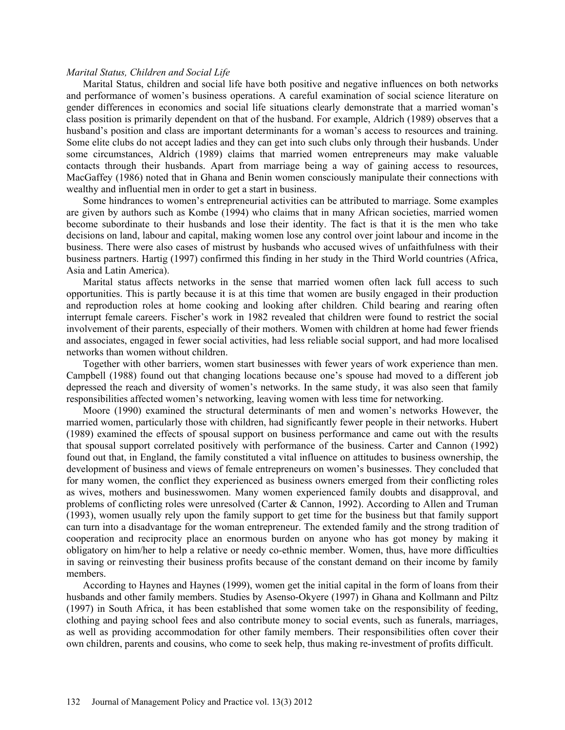#### *Marital Status, Children and Social Life*

Marital Status, children and social life have both positive and negative influences on both networks and performance of women's business operations. A careful examination of social science literature on gender differences in economics and social life situations clearly demonstrate that a married woman's class position is primarily dependent on that of the husband. For example, Aldrich (1989) observes that a husband's position and class are important determinants for a woman's access to resources and training. Some elite clubs do not accept ladies and they can get into such clubs only through their husbands. Under some circumstances, Aldrich (1989) claims that married women entrepreneurs may make valuable contacts through their husbands. Apart from marriage being a way of gaining access to resources, MacGaffey (1986) noted that in Ghana and Benin women consciously manipulate their connections with wealthy and influential men in order to get a start in business.

Some hindrances to women's entrepreneurial activities can be attributed to marriage. Some examples are given by authors such as Kombe (1994) who claims that in many African societies, married women become subordinate to their husbands and lose their identity. The fact is that it is the men who take decisions on land, labour and capital, making women lose any control over joint labour and income in the business. There were also cases of mistrust by husbands who accused wives of unfaithfulness with their business partners. Hartig (1997) confirmed this finding in her study in the Third World countries (Africa, Asia and Latin America).

Marital status affects networks in the sense that married women often lack full access to such opportunities. This is partly because it is at this time that women are busily engaged in their production and reproduction roles at home cooking and looking after children. Child bearing and rearing often interrupt female careers. Fischer's work in 1982 revealed that children were found to restrict the social involvement of their parents, especially of their mothers. Women with children at home had fewer friends and associates, engaged in fewer social activities, had less reliable social support, and had more localised networks than women without children.

Together with other barriers, women start businesses with fewer years of work experience than men. Campbell (1988) found out that changing locations because one's spouse had moved to a different job depressed the reach and diversity of women's networks. In the same study, it was also seen that family responsibilities affected women's networking, leaving women with less time for networking.

Moore (1990) examined the structural determinants of men and women's networks However, the married women, particularly those with children, had significantly fewer people in their networks. Hubert (1989) examined the effects of spousal support on business performance and came out with the results that spousal support correlated positively with performance of the business. Carter and Cannon (1992) found out that, in England, the family constituted a vital influence on attitudes to business ownership, the development of business and views of female entrepreneurs on women's businesses. They concluded that for many women, the conflict they experienced as business owners emerged from their conflicting roles as wives, mothers and businesswomen. Many women experienced family doubts and disapproval, and problems of conflicting roles were unresolved (Carter & Cannon, 1992). According to Allen and Truman (1993), women usually rely upon the family support to get time for the business but that family support can turn into a disadvantage for the woman entrepreneur. The extended family and the strong tradition of cooperation and reciprocity place an enormous burden on anyone who has got money by making it obligatory on him/her to help a relative or needy co-ethnic member. Women, thus, have more difficulties in saving or reinvesting their business profits because of the constant demand on their income by family members.

According to Haynes and Haynes (1999), women get the initial capital in the form of loans from their husbands and other family members. Studies by Asenso-Okyere (1997) in Ghana and Kollmann and Piltz (1997) in South Africa, it has been established that some women take on the responsibility of feeding, clothing and paying school fees and also contribute money to social events, such as funerals, marriages, as well as providing accommodation for other family members. Their responsibilities often cover their own children, parents and cousins, who come to seek help, thus making re-investment of profits difficult.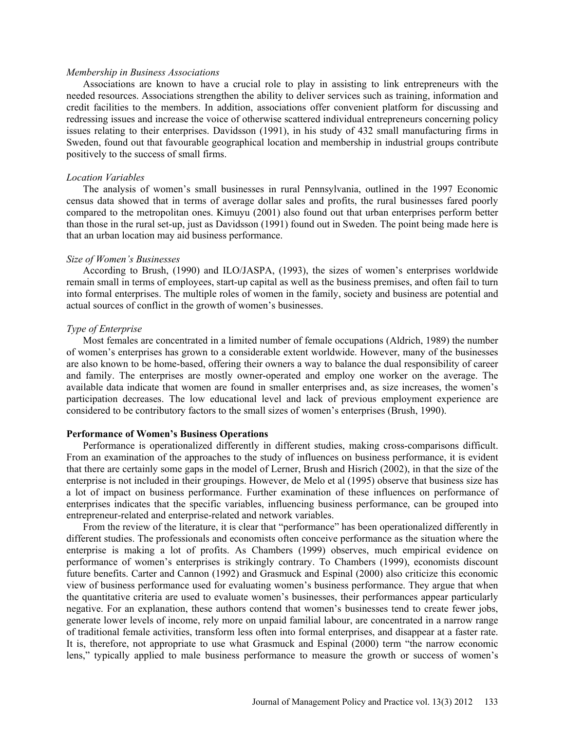#### *Membership in Business Associations*

Associations are known to have a crucial role to play in assisting to link entrepreneurs with the needed resources. Associations strengthen the ability to deliver services such as training, information and credit facilities to the members. In addition, associations offer convenient platform for discussing and redressing issues and increase the voice of otherwise scattered individual entrepreneurs concerning policy issues relating to their enterprises. Davidsson (1991), in his study of 432 small manufacturing firms in Sweden, found out that favourable geographical location and membership in industrial groups contribute positively to the success of small firms.

#### *Location Variables*

The analysis of women's small businesses in rural Pennsylvania, outlined in the 1997 Economic census data showed that in terms of average dollar sales and profits, the rural businesses fared poorly compared to the metropolitan ones. Kimuyu (2001) also found out that urban enterprises perform better than those in the rural set-up, just as Davidsson (1991) found out in Sweden. The point being made here is that an urban location may aid business performance.

#### *Size of Women's Businesses*

According to Brush, (1990) and ILO/JASPA, (1993), the sizes of women's enterprises worldwide remain small in terms of employees, start-up capital as well as the business premises, and often fail to turn into formal enterprises. The multiple roles of women in the family, society and business are potential and actual sources of conflict in the growth of women's businesses.

#### *Type of Enterprise*

Most females are concentrated in a limited number of female occupations (Aldrich, 1989) the number of women's enterprises has grown to a considerable extent worldwide. However, many of the businesses are also known to be home-based, offering their owners a way to balance the dual responsibility of career and family. The enterprises are mostly owner-operated and employ one worker on the average. The available data indicate that women are found in smaller enterprises and, as size increases, the women's participation decreases. The low educational level and lack of previous employment experience are considered to be contributory factors to the small sizes of women's enterprises (Brush, 1990).

#### **Performance of Women's Business Operations**

Performance is operationalized differently in different studies, making cross-comparisons difficult. From an examination of the approaches to the study of influences on business performance, it is evident that there are certainly some gaps in the model of Lerner, Brush and Hisrich (2002), in that the size of the enterprise is not included in their groupings. However, de Melo et al (1995) observe that business size has a lot of impact on business performance. Further examination of these influences on performance of enterprises indicates that the specific variables, influencing business performance, can be grouped into entrepreneur-related and enterprise-related and network variables.

From the review of the literature, it is clear that "performance" has been operationalized differently in different studies. The professionals and economists often conceive performance as the situation where the enterprise is making a lot of profits. As Chambers (1999) observes, much empirical evidence on performance of women's enterprises is strikingly contrary. To Chambers (1999), economists discount future benefits. Carter and Cannon (1992) and Grasmuck and Espinal (2000) also criticize this economic view of business performance used for evaluating women's business performance. They argue that when the quantitative criteria are used to evaluate women's businesses, their performances appear particularly negative. For an explanation, these authors contend that women's businesses tend to create fewer jobs, generate lower levels of income, rely more on unpaid familial labour, are concentrated in a narrow range of traditional female activities, transform less often into formal enterprises, and disappear at a faster rate. It is, therefore, not appropriate to use what Grasmuck and Espinal (2000) term "the narrow economic lens," typically applied to male business performance to measure the growth or success of women's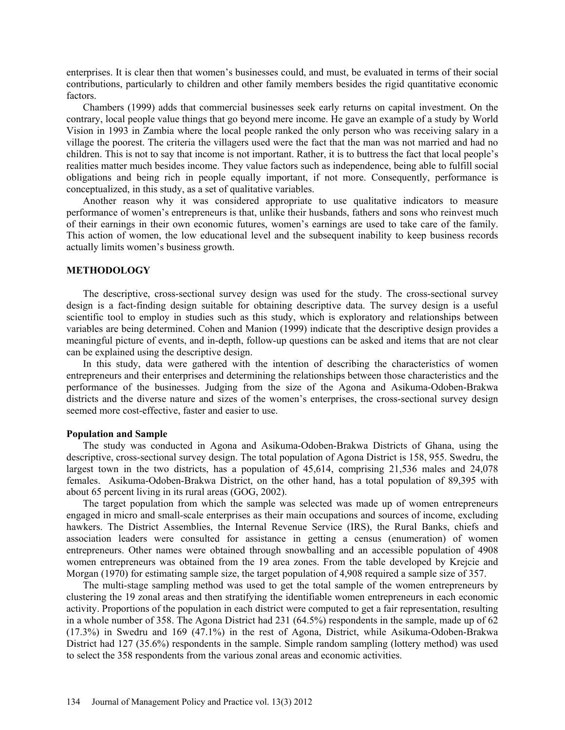enterprises. It is clear then that women's businesses could, and must, be evaluated in terms of their social contributions, particularly to children and other family members besides the rigid quantitative economic factors.

Chambers (1999) adds that commercial businesses seek early returns on capital investment. On the contrary, local people value things that go beyond mere income. He gave an example of a study by World Vision in 1993 in Zambia where the local people ranked the only person who was receiving salary in a village the poorest. The criteria the villagers used were the fact that the man was not married and had no children. This is not to say that income is not important. Rather, it is to buttress the fact that local people's realities matter much besides income. They value factors such as independence, being able to fulfill social obligations and being rich in people equally important, if not more. Consequently, performance is conceptualized, in this study, as a set of qualitative variables.

Another reason why it was considered appropriate to use qualitative indicators to measure performance of women's entrepreneurs is that, unlike their husbands, fathers and sons who reinvest much of their earnings in their own economic futures, women's earnings are used to take care of the family. This action of women, the low educational level and the subsequent inability to keep business records actually limits women's business growth.

#### **METHODOLOGY**

The descriptive, cross-sectional survey design was used for the study. The cross-sectional survey design is a fact-finding design suitable for obtaining descriptive data. The survey design is a useful scientific tool to employ in studies such as this study, which is exploratory and relationships between variables are being determined. Cohen and Manion (1999) indicate that the descriptive design provides a meaningful picture of events, and in-depth, follow-up questions can be asked and items that are not clear can be explained using the descriptive design.

In this study, data were gathered with the intention of describing the characteristics of women entrepreneurs and their enterprises and determining the relationships between those characteristics and the performance of the businesses. Judging from the size of the Agona and Asikuma-Odoben-Brakwa districts and the diverse nature and sizes of the women's enterprises, the cross-sectional survey design seemed more cost-effective, faster and easier to use.

#### **Population and Sample**

The study was conducted in Agona and Asikuma-Odoben-Brakwa Districts of Ghana, using the descriptive, cross-sectional survey design. The total population of Agona District is 158, 955. Swedru, the largest town in the two districts, has a population of 45,614, comprising 21,536 males and 24,078 females. Asikuma-Odoben-Brakwa District, on the other hand, has a total population of 89,395 with about 65 percent living in its rural areas (GOG, 2002).

The target population from which the sample was selected was made up of women entrepreneurs engaged in micro and small-scale enterprises as their main occupations and sources of income, excluding hawkers. The District Assemblies, the Internal Revenue Service (IRS), the Rural Banks, chiefs and association leaders were consulted for assistance in getting a census (enumeration) of women entrepreneurs. Other names were obtained through snowballing and an accessible population of 4908 women entrepreneurs was obtained from the 19 area zones. From the table developed by Krejcie and Morgan (1970) for estimating sample size, the target population of 4,908 required a sample size of 357.

The multi-stage sampling method was used to get the total sample of the women entrepreneurs by clustering the 19 zonal areas and then stratifying the identifiable women entrepreneurs in each economic activity. Proportions of the population in each district were computed to get a fair representation, resulting in a whole number of 358. The Agona District had 231 (64.5%) respondents in the sample, made up of 62 (17.3%) in Swedru and 169 (47.1%) in the rest of Agona, District, while Asikuma-Odoben-Brakwa District had 127 (35.6%) respondents in the sample. Simple random sampling (lottery method) was used to select the 358 respondents from the various zonal areas and economic activities.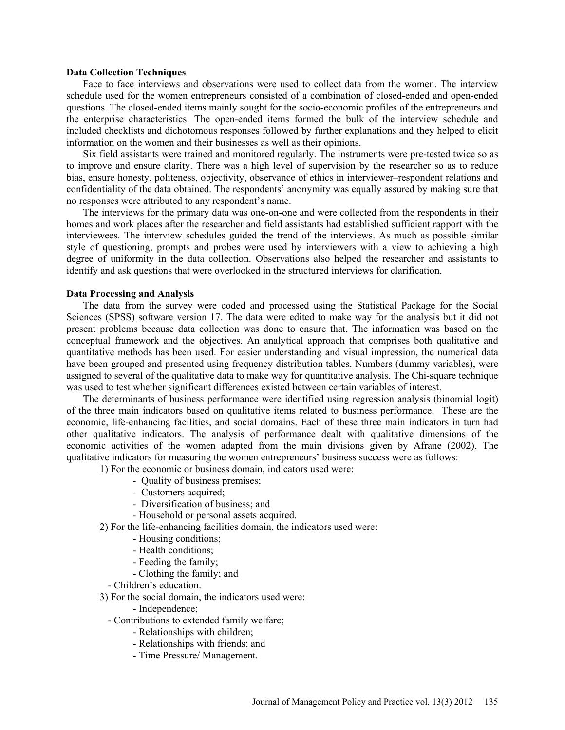#### **Data Collection Techniques**

Face to face interviews and observations were used to collect data from the women. The interview schedule used for the women entrepreneurs consisted of a combination of closed-ended and open-ended questions. The closed-ended items mainly sought for the socio-economic profiles of the entrepreneurs and the enterprise characteristics. The open-ended items formed the bulk of the interview schedule and included checklists and dichotomous responses followed by further explanations and they helped to elicit information on the women and their businesses as well as their opinions.

Six field assistants were trained and monitored regularly. The instruments were pre-tested twice so as to improve and ensure clarity. There was a high level of supervision by the researcher so as to reduce bias, ensure honesty, politeness, objectivity, observance of ethics in interviewer–respondent relations and confidentiality of the data obtained. The respondents' anonymity was equally assured by making sure that no responses were attributed to any respondent's name.

The interviews for the primary data was one-on-one and were collected from the respondents in their homes and work places after the researcher and field assistants had established sufficient rapport with the interviewees. The interview schedules guided the trend of the interviews. As much as possible similar style of questioning, prompts and probes were used by interviewers with a view to achieving a high degree of uniformity in the data collection. Observations also helped the researcher and assistants to identify and ask questions that were overlooked in the structured interviews for clarification.

#### **Data Processing and Analysis**

The data from the survey were coded and processed using the Statistical Package for the Social Sciences (SPSS) software version 17. The data were edited to make way for the analysis but it did not present problems because data collection was done to ensure that. The information was based on the conceptual framework and the objectives. An analytical approach that comprises both qualitative and quantitative methods has been used. For easier understanding and visual impression, the numerical data have been grouped and presented using frequency distribution tables. Numbers (dummy variables), were assigned to several of the qualitative data to make way for quantitative analysis. The Chi-square technique was used to test whether significant differences existed between certain variables of interest.

The determinants of business performance were identified using regression analysis (binomial logit) of the three main indicators based on qualitative items related to business performance. These are the economic, life-enhancing facilities, and social domains. Each of these three main indicators in turn had other qualitative indicators. The analysis of performance dealt with qualitative dimensions of the economic activities of the women adapted from the main divisions given by Afrane (2002). The qualitative indicators for measuring the women entrepreneurs' business success were as follows:

1) For the economic or business domain, indicators used were:

- Quality of business premises;
- Customers acquired;
- Diversification of business; and
- Household or personal assets acquired.

2) For the life-enhancing facilities domain, the indicators used were:

- Housing conditions;
- Health conditions;
- Feeding the family;
- Clothing the family; and
- Children's education.

3) For the social domain, the indicators used were:

- Independence;
- Contributions to extended family welfare;
	- Relationships with children;
	- Relationships with friends; and
	- Time Pressure/ Management.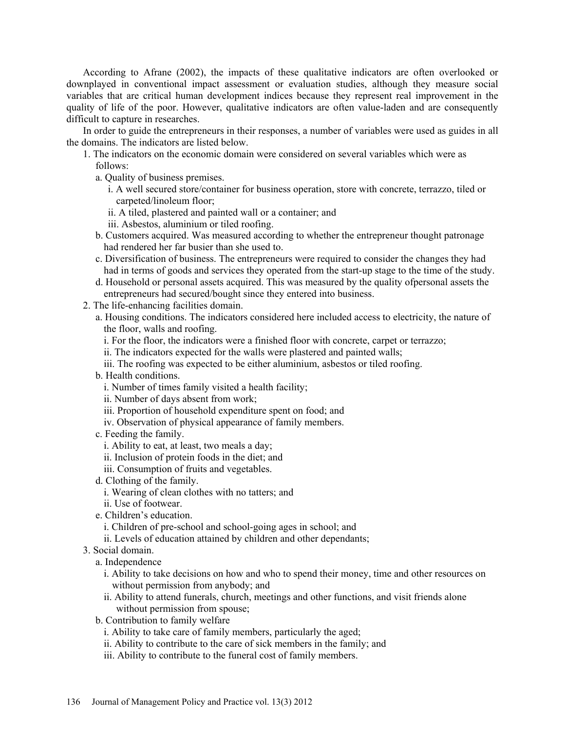According to Afrane (2002), the impacts of these qualitative indicators are often overlooked or downplayed in conventional impact assessment or evaluation studies, although they measure social variables that are critical human development indices because they represent real improvement in the quality of life of the poor. However, qualitative indicators are often value-laden and are consequently difficult to capture in researches.

In order to guide the entrepreneurs in their responses, a number of variables were used as guides in all the domains. The indicators are listed below.

- 1. The indicators on the economic domain were considered on several variables which were as follows:
	- a. Quality of business premises.
		- i. A well secured store/container for business operation, store with concrete, terrazzo, tiled or carpeted/linoleum floor;
		- ii. A tiled, plastered and painted wall or a container; and
		- iii. Asbestos, aluminium or tiled roofing.
	- b. Customers acquired. Was measured according to whether the entrepreneur thought patronage had rendered her far busier than she used to.
	- c. Diversification of business. The entrepreneurs were required to consider the changes they had had in terms of goods and services they operated from the start-up stage to the time of the study.
	- d. Household or personal assets acquired. This was measured by the quality ofpersonal assets the entrepreneurs had secured/bought since they entered into business.
- 2. The life-enhancing facilities domain.
	- a. Housing conditions. The indicators considered here included access to electricity, the nature of the floor, walls and roofing.
		- i. For the floor, the indicators were a finished floor with concrete, carpet or terrazzo;
		- ii. The indicators expected for the walls were plastered and painted walls;
		- iii. The roofing was expected to be either aluminium, asbestos or tiled roofing.
	- b. Health conditions.
		- i. Number of times family visited a health facility;
		- ii. Number of days absent from work;
		- iii. Proportion of household expenditure spent on food; and
		- iv. Observation of physical appearance of family members.
	- c. Feeding the family.
		- i. Ability to eat, at least, two meals a day;
		- ii. Inclusion of protein foods in the diet; and
		- iii. Consumption of fruits and vegetables.
	- d. Clothing of the family.
		- i. Wearing of clean clothes with no tatters; and
		- ii. Use of footwear.
	- e. Children's education.
		- i. Children of pre-school and school-going ages in school; and
		- ii. Levels of education attained by children and other dependants;
- 3. Social domain.
	- a. Independence
		- i. Ability to take decisions on how and who to spend their money, time and other resources on without permission from anybody; and
		- ii. Ability to attend funerals, church, meetings and other functions, and visit friends alone without permission from spouse;
	- b. Contribution to family welfare
		- i. Ability to take care of family members, particularly the aged;
		- ii. Ability to contribute to the care of sick members in the family; and
		- iii. Ability to contribute to the funeral cost of family members.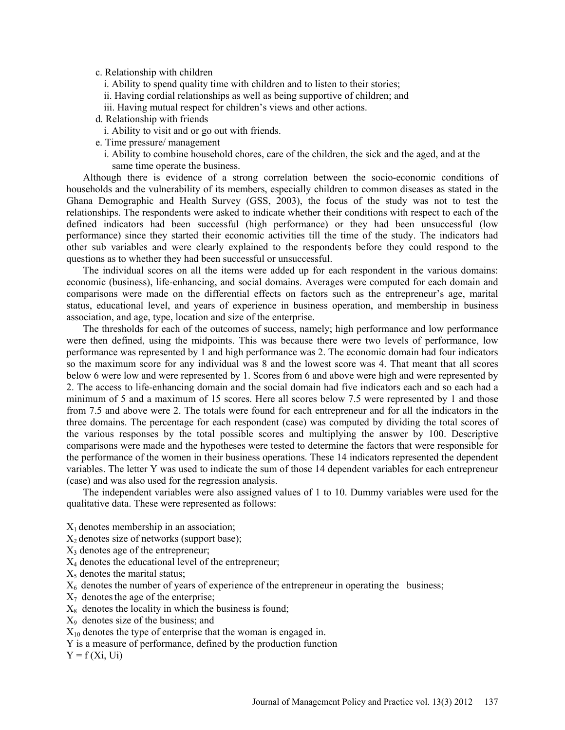#### c. Relationship with children

- i. Ability to spend quality time with children and to listen to their stories;
- ii. Having cordial relationships as well as being supportive of children; and
- iii. Having mutual respect for children's views and other actions.
- d. Relationship with friends
- i. Ability to visit and or go out with friends.
- e. Time pressure/ management
	- i. Ability to combine household chores, care of the children, the sick and the aged, and at the same time operate the business.

Although there is evidence of a strong correlation between the socio-economic conditions of households and the vulnerability of its members, especially children to common diseases as stated in the Ghana Demographic and Health Survey (GSS, 2003), the focus of the study was not to test the relationships. The respondents were asked to indicate whether their conditions with respect to each of the defined indicators had been successful (high performance) or they had been unsuccessful (low performance) since they started their economic activities till the time of the study. The indicators had other sub variables and were clearly explained to the respondents before they could respond to the questions as to whether they had been successful or unsuccessful.

The individual scores on all the items were added up for each respondent in the various domains: economic (business), life-enhancing, and social domains. Averages were computed for each domain and comparisons were made on the differential effects on factors such as the entrepreneur's age, marital status, educational level, and years of experience in business operation, and membership in business association, and age, type, location and size of the enterprise.

The thresholds for each of the outcomes of success, namely; high performance and low performance were then defined, using the midpoints. This was because there were two levels of performance, low performance was represented by 1 and high performance was 2. The economic domain had four indicators so the maximum score for any individual was 8 and the lowest score was 4. That meant that all scores below 6 were low and were represented by 1. Scores from 6 and above were high and were represented by 2. The access to life-enhancing domain and the social domain had five indicators each and so each had a minimum of 5 and a maximum of 15 scores. Here all scores below 7.5 were represented by 1 and those from 7.5 and above were 2. The totals were found for each entrepreneur and for all the indicators in the three domains. The percentage for each respondent (case) was computed by dividing the total scores of the various responses by the total possible scores and multiplying the answer by 100. Descriptive comparisons were made and the hypotheses were tested to determine the factors that were responsible for the performance of the women in their business operations. These 14 indicators represented the dependent variables. The letter Y was used to indicate the sum of those 14 dependent variables for each entrepreneur (case) and was also used for the regression analysis.

The independent variables were also assigned values of 1 to 10. Dummy variables were used for the qualitative data. These were represented as follows:

- $X_1$  denotes membership in an association;
- $X_2$  denotes size of networks (support base);
- $X_3$  denotes age of the entrepreneur;
- $X_4$  denotes the educational level of the entrepreneur;
- $X<sub>5</sub>$  denotes the marital status;

 $X<sub>6</sub>$  denotes the number of years of experience of the entrepreneur in operating the business;

- $X_7$  denotes the age of the enterprise;
- $X_8$  denotes the locality in which the business is found;
- X9 denotes size of the business; and

 $X_{10}$  denotes the type of enterprise that the woman is engaged in.

Y is a measure of performance, defined by the production function

 $Y = f(Xi, Ui)$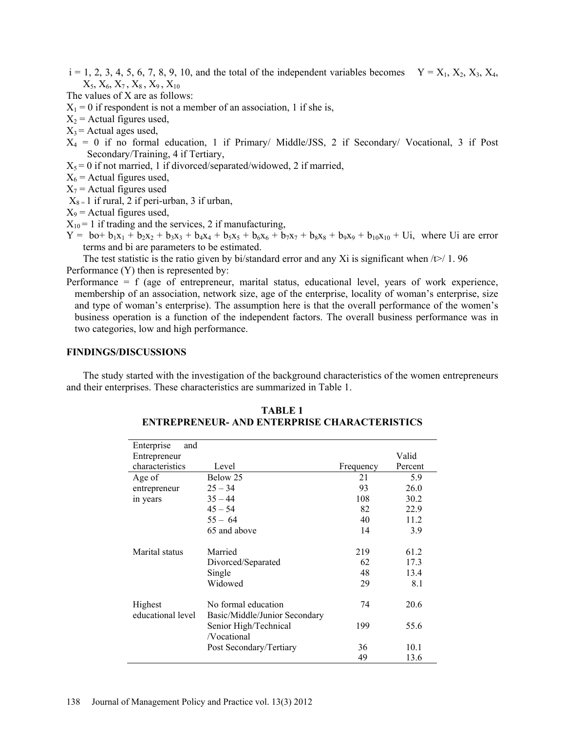$i = 1, 2, 3, 4, 5, 6, 7, 8, 9, 10$ , and the total of the independent variables becomes  $Y = X_1, X_2, X_3, X_4$ ,  $X_5, X_6, X_7, X_8, X_9, X_{10}$ 

The values of X are as follows:

 $X_1 = 0$  if respondent is not a member of an association, 1 if she is,

- $X_2$  = Actual figures used,
- $X_3$  = Actual ages used,
- $X_4 = 0$  if no formal education, 1 if Primary/ Middle/JSS, 2 if Secondary/ Vocational, 3 if Post Secondary/Training, 4 if Tertiary,
- $X_5 = 0$  if not married, 1 if divorced/separated/widowed, 2 if married,
- $X_6$  = Actual figures used,

 $X_7$  = Actual figures used

 $X_{8} = 1$  if rural, 2 if peri-urban, 3 if urban,

 $X_9$  = Actual figures used,

- $X_{10} = 1$  if trading and the services, 2 if manufacturing,
- $Y =$  bo+  $b_1x_1 + b_2x_2 + b_3x_3 + b_4x_4 + b_5x_5 + b_6x_6 + b_7x_7 + b_8x_8 + b_9x_9 + b_{10}x_{10} + U_i$ , where Ui are error terms and bi are parameters to be estimated.

The test statistic is the ratio given by bi/standard error and any Xi is significant when  $\sqrt{\frac{1}{2}}$  1.96 Performance (Y) then is represented by:

Performance = f (age of entrepreneur, marital status, educational level, years of work experience, membership of an association, network size, age of the enterprise, locality of woman's enterprise, size and type of woman's enterprise). The assumption here is that the overall performance of the women's business operation is a function of the independent factors. The overall business performance was in two categories, low and high performance.

## **FINDINGS/DISCUSSIONS**

The study started with the investigation of the background characteristics of the women entrepreneurs and their enterprises. These characteristics are summarized in Table 1.

| Enterprise<br>and            |                                                      |           |         |
|------------------------------|------------------------------------------------------|-----------|---------|
| Entrepreneur                 |                                                      |           | Valid   |
| characteristics              | Level                                                | Frequency | Percent |
| Age of                       | Below 25                                             | 21        | 5.9     |
| entrepreneur                 | $25 - 34$                                            | 93        | 26.0    |
| in years                     | $35 - 44$                                            | 108       | 30.2    |
|                              | $45 - 54$                                            | 82        | 22.9    |
|                              | $55 - 64$                                            | 40        | 11.2    |
|                              | 65 and above                                         | 14        | 3.9     |
| Marital status               | Married                                              | 219       | 61.2    |
|                              | Divorced/Separated                                   | 62        | 17.3    |
|                              | Single                                               | 48        | 13.4    |
|                              | Widowed                                              | 29        | 8.1     |
| Highest<br>educational level | No formal education<br>Basic/Middle/Junior Secondary | 74        | 20.6    |
|                              | Senior High/Technical<br>/Vocational                 | 199       | 55.6    |
|                              | Post Secondary/Tertiary                              | 36        | 10.1    |
|                              |                                                      | 49        | 13.6    |

**TABLE 1 ENTREPRENEUR- AND ENTERPRISE CHARACTERISTICS**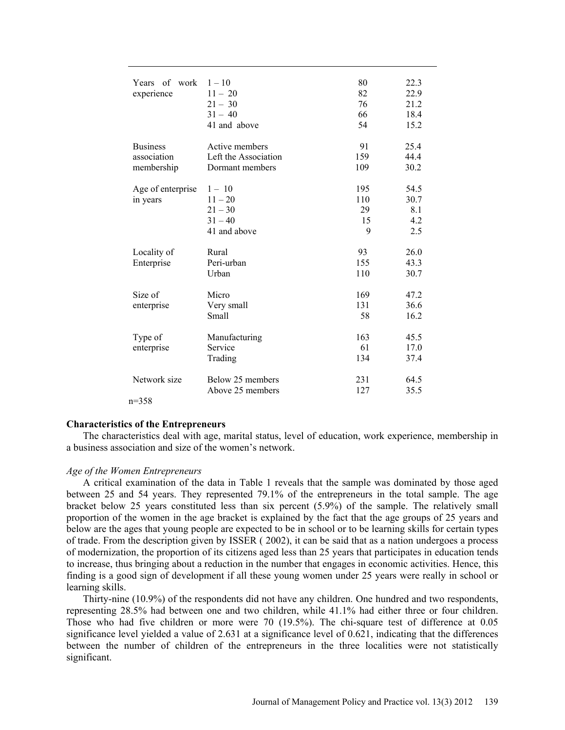| Years of work     | $1 - 10$             | 80  | 22.3 |
|-------------------|----------------------|-----|------|
| experience        | $11 - 20$            | 82  | 22.9 |
|                   | $21 - 30$            | 76  | 21.2 |
|                   | $31 - 40$            | 66  | 18.4 |
|                   | 41 and above         | 54  | 15.2 |
|                   |                      |     |      |
| <b>Business</b>   | Active members       | 91  | 25.4 |
| association       | Left the Association | 159 | 44.4 |
| membership        | Dormant members      | 109 | 30.2 |
|                   |                      |     |      |
| Age of enterprise | $1 - 10$             | 195 | 54.5 |
| in years          | $11 - 20$            | 110 | 30.7 |
|                   | $21 - 30$            | 29  | 8.1  |
|                   | $31 - 40$            | 15  | 4.2  |
|                   | 41 and above         | 9   | 2.5  |
| Locality of       | Rural                | 93  | 26.0 |
| Enterprise        | Peri-urban           | 155 | 43.3 |
|                   | Urban                | 110 | 30.7 |
|                   |                      |     |      |
| Size of           | Micro                | 169 | 47.2 |
| enterprise        | Very small           | 131 | 36.6 |
|                   | Small                | 58  | 16.2 |
|                   |                      |     |      |
| Type of           | Manufacturing        | 163 | 45.5 |
| enterprise        | Service              | 61  | 17.0 |
|                   | Trading              | 134 | 37.4 |
|                   |                      |     |      |
| Network size      | Below 25 members     | 231 | 64.5 |
|                   | Above 25 members     | 127 | 35.5 |
| $n=358$           |                      |     |      |

# **Characteristics of the Entrepreneurs**

The characteristics deal with age, marital status, level of education, work experience, membership in a business association and size of the women's network.

#### *Age of the Women Entrepreneurs*

A critical examination of the data in Table 1 reveals that the sample was dominated by those aged between 25 and 54 years. They represented 79.1% of the entrepreneurs in the total sample. The age bracket below 25 years constituted less than six percent (5.9%) of the sample. The relatively small proportion of the women in the age bracket is explained by the fact that the age groups of 25 years and below are the ages that young people are expected to be in school or to be learning skills for certain types of trade. From the description given by ISSER ( 2002), it can be said that as a nation undergoes a process of modernization, the proportion of its citizens aged less than 25 years that participates in education tends to increase, thus bringing about a reduction in the number that engages in economic activities. Hence, this finding is a good sign of development if all these young women under 25 years were really in school or learning skills.

Thirty-nine (10.9%) of the respondents did not have any children. One hundred and two respondents, representing 28.5% had between one and two children, while 41.1% had either three or four children. Those who had five children or more were 70 (19.5%). The chi-square test of difference at 0.05 significance level yielded a value of 2.631 at a significance level of 0.621, indicating that the differences between the number of children of the entrepreneurs in the three localities were not statistically significant.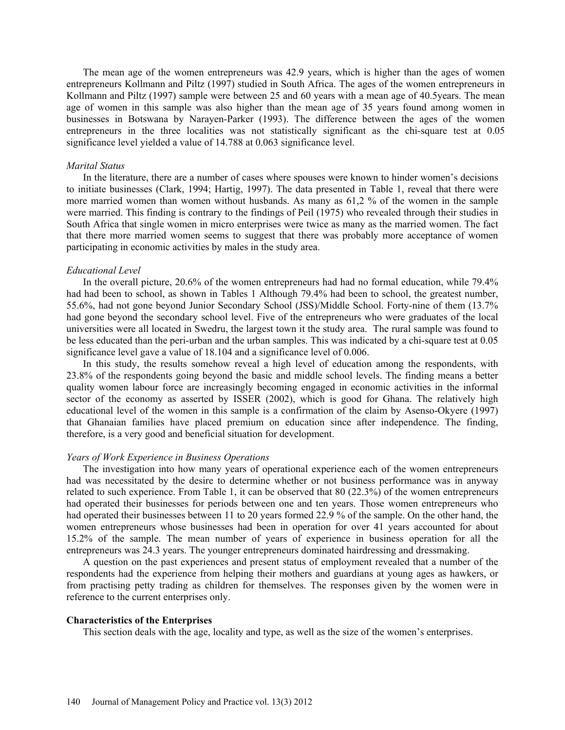The mean age of the women entrepreneurs was 42.9 years, which is higher than the ages of women entrepreneurs Kollmann and Piltz (1997) studied in South Africa. The ages of the women entrepreneurs in Kollmann and Piltz (1997) sample were between 25 and 60 years with a mean age of 40.5years. The mean age of women in this sample was also higher than the mean age of 35 years found among women in businesses in Botswana by Narayen-Parker (1993). The difference between the ages of the women entrepreneurs in the three localities was not statistically significant as the chi-square test at 0.05 significance level yielded a value of 14.788 at 0.063 significance level.

#### *Marital Status*

In the literature, there are a number of cases where spouses were known to hinder women's decisions to initiate businesses (Clark, 1994; Hartig, 1997). The data presented in Table 1, reveal that there were more married women than women without husbands. As many as 61,2 % of the women in the sample were married. This finding is contrary to the findings of Peil (1975) who revealed through their studies in South Africa that single women in micro enterprises were twice as many as the married women. The fact that there more married women seems to suggest that there was probably more acceptance of women participating in economic activities by males in the study area.

#### *Educational Level*

In the overall picture, 20.6% of the women entrepreneurs had had no formal education, while 79.4% had had been to school, as shown in Tables 1 Although 79.4% had been to school, the greatest number, 55.6%, had not gone beyond Junior Secondary School (JSS)/Middle School. Forty-nine of them (13.7% had gone beyond the secondary school level. Five of the entrepreneurs who were graduates of the local universities were all located in Swedru, the largest town it the study area. The rural sample was found to be less educated than the peri-urban and the urban samples. This was indicated by a chi-square test at 0.05 significance level gave a value of 18.104 and a significance level of 0.006.

In this study, the results somehow reveal a high level of education among the respondents, with 23.8% of the respondents going beyond the basic and middle school levels. The finding means a better quality women labour force are increasingly becoming engaged in economic activities in the informal sector of the economy as asserted by ISSER (2002), which is good for Ghana. The relatively high educational level of the women in this sample is a confirmation of the claim by Asenso-Okyere (1997) that Ghanaian families have placed premium on education since after independence. The finding, therefore, is a very good and beneficial situation for development.

#### *Years of Work Experience in Business Operations*

The investigation into how many years of operational experience each of the women entrepreneurs had was necessitated by the desire to determine whether or not business performance was in anyway related to such experience. From Table 1, it can be observed that 80 (22.3%) of the women entrepreneurs had operated their businesses for periods between one and ten years. Those women entrepreneurs who had operated their businesses between 11 to 20 years formed 22.9 % of the sample. On the other hand, the women entrepreneurs whose businesses had been in operation for over 41 years accounted for about 15.2% of the sample. The mean number of years of experience in business operation for all the entrepreneurs was 24.3 years. The younger entrepreneurs dominated hairdressing and dressmaking.

A question on the past experiences and present status of employment revealed that a number of the respondents had the experience from helping their mothers and guardians at young ages as hawkers, or from practising petty trading as children for themselves. The responses given by the women were in reference to the current enterprises only.

#### **Characteristics of the Enterprises**

This section deals with the age, locality and type, as well as the size of the women's enterprises.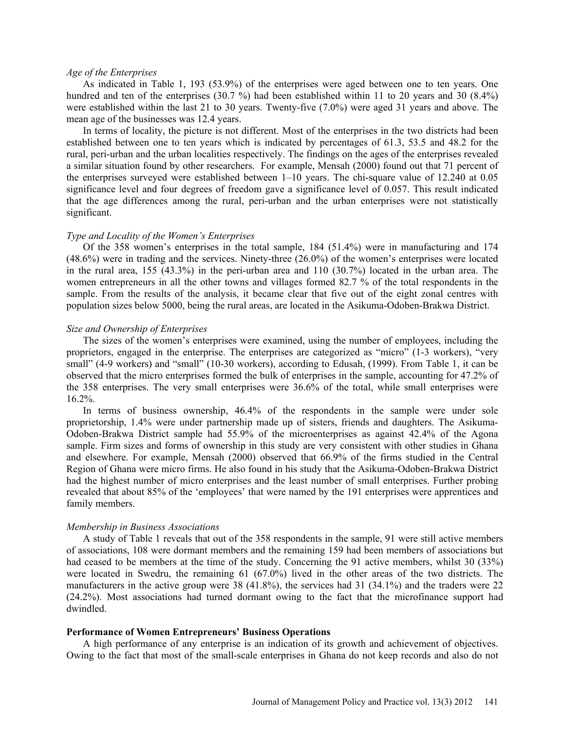#### *Age of the Enterprises*

As indicated in Table 1, 193 (53.9%) of the enterprises were aged between one to ten years. One hundred and ten of the enterprises (30.7 %) had been established within 11 to 20 years and 30 (8.4%) were established within the last 21 to 30 years. Twenty-five (7.0%) were aged 31 years and above. The mean age of the businesses was 12.4 years.

In terms of locality, the picture is not different. Most of the enterprises in the two districts had been established between one to ten years which is indicated by percentages of 61.3, 53.5 and 48.2 for the rural, peri-urban and the urban localities respectively. The findings on the ages of the enterprises revealed a similar situation found by other researchers. For example, Mensah (2000) found out that 71 percent of the enterprises surveyed were established between 1–10 years. The chi-square value of 12.240 at 0.05 significance level and four degrees of freedom gave a significance level of 0.057. This result indicated that the age differences among the rural, peri-urban and the urban enterprises were not statistically significant.

#### *Type and Locality of the Women's Enterprises*

Of the 358 women's enterprises in the total sample, 184 (51.4%) were in manufacturing and 174 (48.6%) were in trading and the services. Ninety-three (26.0%) of the women's enterprises were located in the rural area, 155 (43.3%) in the peri-urban area and 110 (30.7%) located in the urban area. The women entrepreneurs in all the other towns and villages formed 82.7 % of the total respondents in the sample. From the results of the analysis, it became clear that five out of the eight zonal centres with population sizes below 5000, being the rural areas, are located in the Asikuma-Odoben-Brakwa District.

#### *Size and Ownership of Enterprises*

The sizes of the women's enterprises were examined, using the number of employees, including the proprietors, engaged in the enterprise. The enterprises are categorized as "micro" (1-3 workers), "very small" (4-9 workers) and "small" (10-30 workers), according to Edusah, (1999). From Table 1, it can be observed that the micro enterprises formed the bulk of enterprises in the sample, accounting for 47.2% of the 358 enterprises. The very small enterprises were 36.6% of the total, while small enterprises were 16.2%.

In terms of business ownership, 46.4% of the respondents in the sample were under sole proprietorship, 1.4% were under partnership made up of sisters, friends and daughters. The Asikuma-Odoben-Brakwa District sample had 55.9% of the microenterprises as against 42.4% of the Agona sample. Firm sizes and forms of ownership in this study are very consistent with other studies in Ghana and elsewhere. For example, Mensah (2000) observed that 66.9% of the firms studied in the Central Region of Ghana were micro firms. He also found in his study that the Asikuma-Odoben-Brakwa District had the highest number of micro enterprises and the least number of small enterprises. Further probing revealed that about 85% of the 'employees' that were named by the 191 enterprises were apprentices and family members.

#### *Membership in Business Associations*

A study of Table 1 reveals that out of the 358 respondents in the sample, 91 were still active members of associations, 108 were dormant members and the remaining 159 had been members of associations but had ceased to be members at the time of the study. Concerning the 91 active members, whilst 30 (33%) were located in Swedru, the remaining 61 (67.0%) lived in the other areas of the two districts. The manufacturers in the active group were 38 (41.8%), the services had 31 (34.1%) and the traders were 22 (24.2%). Most associations had turned dormant owing to the fact that the microfinance support had dwindled.

#### **Performance of Women Entrepreneurs' Business Operations**

A high performance of any enterprise is an indication of its growth and achievement of objectives. Owing to the fact that most of the small-scale enterprises in Ghana do not keep records and also do not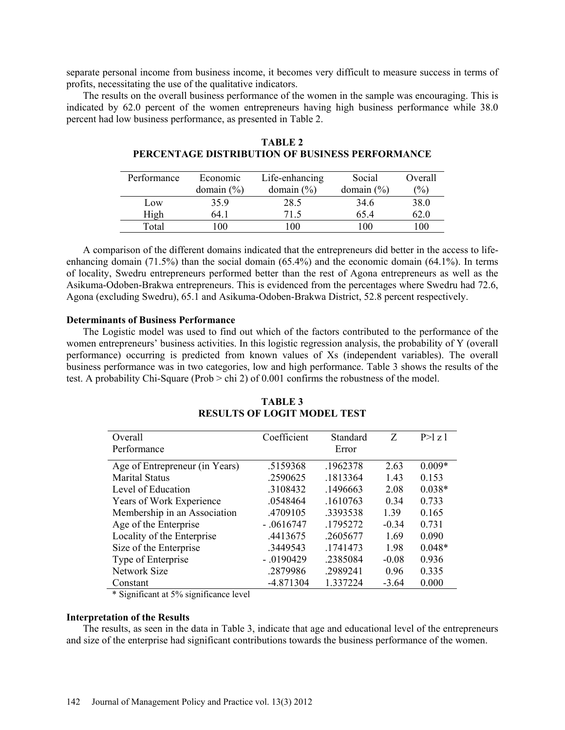separate personal income from business income, it becomes very difficult to measure success in terms of profits, necessitating the use of the qualitative indicators.

The results on the overall business performance of the women in the sample was encouraging. This is indicated by 62.0 percent of the women entrepreneurs having high business performance while 38.0 percent had low business performance, as presented in Table 2.

| Performance | Economic       | Life-enhancing | Social         | Overall         |
|-------------|----------------|----------------|----------------|-----------------|
|             | domain $(\% )$ | domain $(\% )$ | domain $(\% )$ | $\frac{(0)}{0}$ |
| Low         | 35.9           | 28.5           | 34.6           | 38.0            |
| High        | 64.1           | 71.5           | 65.4           | 62.0            |
| Total       | 100            | 00             | 100            | 100             |

| <b>TABLE 2</b>                                  |  |  |  |
|-------------------------------------------------|--|--|--|
| PERCENTAGE DISTRIBUTION OF BUSINESS PERFORMANCE |  |  |  |

A comparison of the different domains indicated that the entrepreneurs did better in the access to lifeenhancing domain (71.5%) than the social domain (65.4%) and the economic domain (64.1%). In terms of locality, Swedru entrepreneurs performed better than the rest of Agona entrepreneurs as well as the Asikuma-Odoben-Brakwa entrepreneurs. This is evidenced from the percentages where Swedru had 72.6, Agona (excluding Swedru), 65.1 and Asikuma-Odoben-Brakwa District, 52.8 percent respectively.

## **Determinants of Business Performance**

The Logistic model was used to find out which of the factors contributed to the performance of the women entrepreneurs' business activities. In this logistic regression analysis, the probability of Y (overall performance) occurring is predicted from known values of Xs (independent variables). The overall business performance was in two categories, low and high performance. Table 3 shows the results of the test. A probability Chi-Square (Prob > chi 2) of 0.001 confirms the robustness of the model.

| <b>TABLE 3</b>                     |  |
|------------------------------------|--|
| <b>RESULTS OF LOGIT MODEL TEST</b> |  |

| Overall                        | Coefficient  | Standard | Z       | P > l z l |
|--------------------------------|--------------|----------|---------|-----------|
| Performance                    |              | Error    |         |           |
| Age of Entrepreneur (in Years) | .5159368     | .1962378 | 2.63    | $0.009*$  |
| <b>Marital Status</b>          | .2590625     | .1813364 | 1.43    | 0.153     |
| Level of Education             | .3108432     | .1496663 | 2.08    | $0.038*$  |
| Years of Work Experience       | .0548464     | .1610763 | 0.34    | 0.733     |
| Membership in an Association   | .4709105     | 3393538  | 1.39    | 0.165     |
| Age of the Enterprise          | $-0616747$   | .1795272 | $-0.34$ | 0.731     |
| Locality of the Enterprise     | .4413675     | .2605677 | 1.69    | 0.090     |
| Size of the Enterprise         | .3449543     | .1741473 | 198     | $0.048*$  |
| Type of Enterprise             | $-0.0190429$ | .2385084 | $-0.08$ | 0.936     |
| Network Size                   | .2879986     | .2989241 | 0.96    | 0.335     |
| Constant                       | $-4.871304$  | 1.337224 | $-3.64$ | 0.000     |

\* Significant at 5% significance level

#### **Interpretation of the Results**

The results, as seen in the data in Table 3, indicate that age and educational level of the entrepreneurs and size of the enterprise had significant contributions towards the business performance of the women.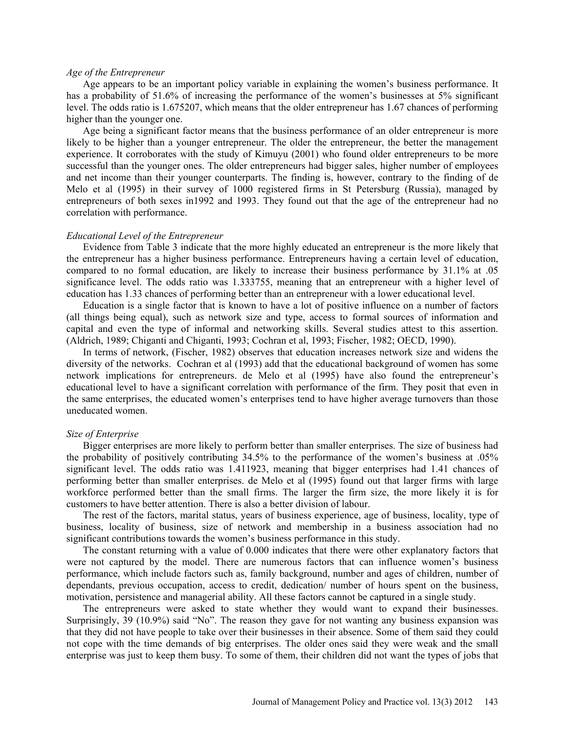#### *Age of the Entrepreneur*

Age appears to be an important policy variable in explaining the women's business performance. It has a probability of 51.6% of increasing the performance of the women's businesses at 5% significant level. The odds ratio is 1.675207, which means that the older entrepreneur has 1.67 chances of performing higher than the younger one.

Age being a significant factor means that the business performance of an older entrepreneur is more likely to be higher than a younger entrepreneur. The older the entrepreneur, the better the management experience. It corroborates with the study of Kimuyu (2001) who found older entrepreneurs to be more successful than the younger ones. The older entrepreneurs had bigger sales, higher number of employees and net income than their younger counterparts. The finding is, however, contrary to the finding of de Melo et al (1995) in their survey of 1000 registered firms in St Petersburg (Russia), managed by entrepreneurs of both sexes in1992 and 1993. They found out that the age of the entrepreneur had no correlation with performance.

#### *Educational Level of the Entrepreneur*

Evidence from Table 3 indicate that the more highly educated an entrepreneur is the more likely that the entrepreneur has a higher business performance. Entrepreneurs having a certain level of education, compared to no formal education, are likely to increase their business performance by 31.1% at .05 significance level. The odds ratio was 1.333755, meaning that an entrepreneur with a higher level of education has 1.33 chances of performing better than an entrepreneur with a lower educational level.

Education is a single factor that is known to have a lot of positive influence on a number of factors (all things being equal), such as network size and type, access to formal sources of information and capital and even the type of informal and networking skills. Several studies attest to this assertion. (Aldrich, 1989; Chiganti and Chiganti, 1993; Cochran et al, 1993; Fischer, 1982; OECD, 1990).

In terms of network, (Fischer, 1982) observes that education increases network size and widens the diversity of the networks. Cochran et al (1993) add that the educational background of women has some network implications for entrepreneurs. de Melo et al (1995) have also found the entrepreneur's educational level to have a significant correlation with performance of the firm. They posit that even in the same enterprises, the educated women's enterprises tend to have higher average turnovers than those uneducated women.

#### *Size of Enterprise*

Bigger enterprises are more likely to perform better than smaller enterprises. The size of business had the probability of positively contributing 34.5% to the performance of the women's business at .05% significant level. The odds ratio was 1.411923, meaning that bigger enterprises had 1.41 chances of performing better than smaller enterprises. de Melo et al (1995) found out that larger firms with large workforce performed better than the small firms. The larger the firm size, the more likely it is for customers to have better attention. There is also a better division of labour.

The rest of the factors, marital status, years of business experience, age of business, locality, type of business, locality of business, size of network and membership in a business association had no significant contributions towards the women's business performance in this study.

The constant returning with a value of 0.000 indicates that there were other explanatory factors that were not captured by the model. There are numerous factors that can influence women's business performance, which include factors such as, family background, number and ages of children, number of dependants, previous occupation, access to credit, dedication/ number of hours spent on the business, motivation, persistence and managerial ability. All these factors cannot be captured in a single study.

The entrepreneurs were asked to state whether they would want to expand their businesses. Surprisingly, 39 (10.9%) said "No". The reason they gave for not wanting any business expansion was that they did not have people to take over their businesses in their absence. Some of them said they could not cope with the time demands of big enterprises. The older ones said they were weak and the small enterprise was just to keep them busy. To some of them, their children did not want the types of jobs that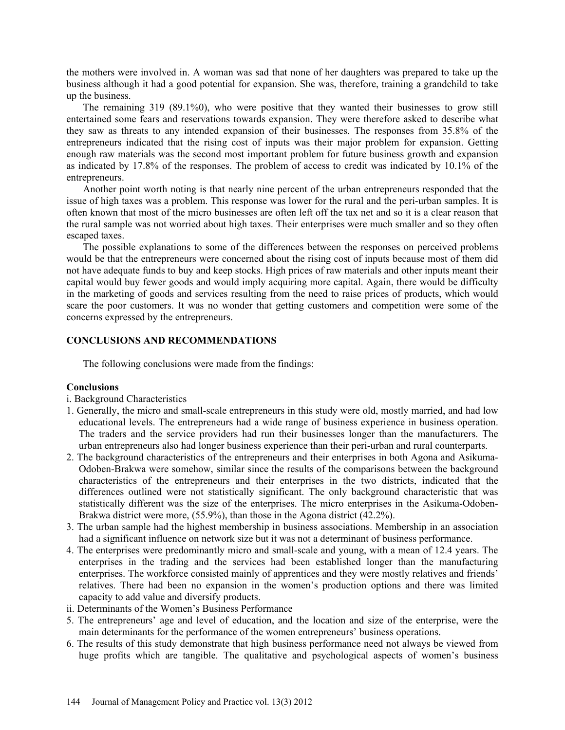the mothers were involved in. A woman was sad that none of her daughters was prepared to take up the business although it had a good potential for expansion. She was, therefore, training a grandchild to take up the business.

The remaining 319 (89.1%0), who were positive that they wanted their businesses to grow still entertained some fears and reservations towards expansion. They were therefore asked to describe what they saw as threats to any intended expansion of their businesses. The responses from 35.8% of the entrepreneurs indicated that the rising cost of inputs was their major problem for expansion. Getting enough raw materials was the second most important problem for future business growth and expansion as indicated by 17.8% of the responses. The problem of access to credit was indicated by 10.1% of the entrepreneurs.

Another point worth noting is that nearly nine percent of the urban entrepreneurs responded that the issue of high taxes was a problem. This response was lower for the rural and the peri-urban samples. It is often known that most of the micro businesses are often left off the tax net and so it is a clear reason that the rural sample was not worried about high taxes. Their enterprises were much smaller and so they often escaped taxes.

The possible explanations to some of the differences between the responses on perceived problems would be that the entrepreneurs were concerned about the rising cost of inputs because most of them did not have adequate funds to buy and keep stocks. High prices of raw materials and other inputs meant their capital would buy fewer goods and would imply acquiring more capital. Again, there would be difficulty in the marketing of goods and services resulting from the need to raise prices of products, which would scare the poor customers. It was no wonder that getting customers and competition were some of the concerns expressed by the entrepreneurs.

#### **CONCLUSIONS AND RECOMMENDATIONS**

The following conclusions were made from the findings:

#### **Conclusions**

- i. Background Characteristics
- 1. Generally, the micro and small-scale entrepreneurs in this study were old, mostly married, and had low educational levels. The entrepreneurs had a wide range of business experience in business operation. The traders and the service providers had run their businesses longer than the manufacturers. The urban entrepreneurs also had longer business experience than their peri-urban and rural counterparts.
- 2. The background characteristics of the entrepreneurs and their enterprises in both Agona and Asikuma-Odoben-Brakwa were somehow, similar since the results of the comparisons between the background characteristics of the entrepreneurs and their enterprises in the two districts, indicated that the differences outlined were not statistically significant. The only background characteristic that was statistically different was the size of the enterprises. The micro enterprises in the Asikuma-Odoben-Brakwa district were more, (55.9%), than those in the Agona district (42.2%).
- 3. The urban sample had the highest membership in business associations. Membership in an association had a significant influence on network size but it was not a determinant of business performance.
- 4. The enterprises were predominantly micro and small-scale and young, with a mean of 12.4 years. The enterprises in the trading and the services had been established longer than the manufacturing enterprises. The workforce consisted mainly of apprentices and they were mostly relatives and friends' relatives. There had been no expansion in the women's production options and there was limited capacity to add value and diversify products.
- ii. Determinants of the Women's Business Performance
- 5. The entrepreneurs' age and level of education, and the location and size of the enterprise, were the main determinants for the performance of the women entrepreneurs' business operations.
- 6. The results of this study demonstrate that high business performance need not always be viewed from huge profits which are tangible. The qualitative and psychological aspects of women's business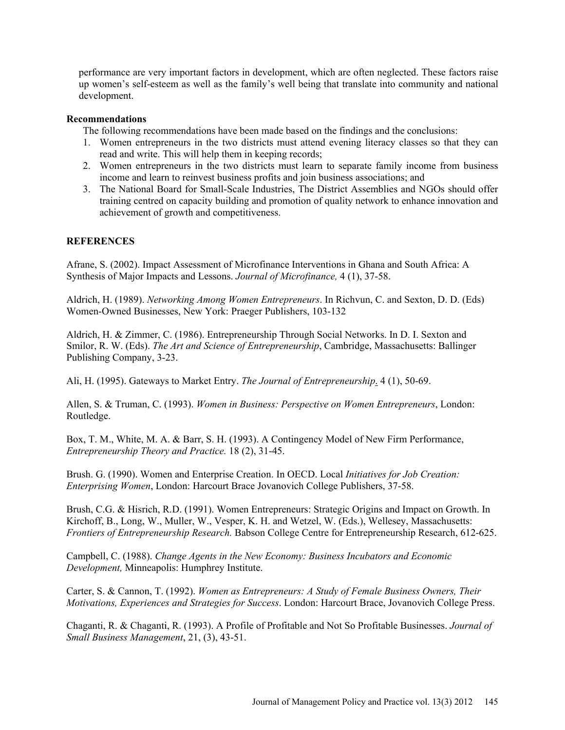performance are very important factors in development, which are often neglected. These factors raise up women's self-esteem as well as the family's well being that translate into community and national development.

## **Recommendations**

The following recommendations have been made based on the findings and the conclusions:

- 1. Women entrepreneurs in the two districts must attend evening literacy classes so that they can read and write. This will help them in keeping records;
- 2. Women entrepreneurs in the two districts must learn to separate family income from business income and learn to reinvest business profits and join business associations; and
- 3. The National Board for Small-Scale Industries, The District Assemblies and NGOs should offer training centred on capacity building and promotion of quality network to enhance innovation and achievement of growth and competitiveness.

## **REFERENCES**

Afrane, S. (2002). Impact Assessment of Microfinance Interventions in Ghana and South Africa: A Synthesis of Major Impacts and Lessons. *Journal of Microfinance,* 4 (1), 37-58.

Aldrich, H. (1989). *Networking Among Women Entrepreneurs*. In Richvun, C. and Sexton, D. D. (Eds) Women-Owned Businesses, New York: Praeger Publishers, 103-132

Aldrich, H. & Zimmer, C. (1986). Entrepreneurship Through Social Networks. In D. I. Sexton and Smilor, R. W. (Eds). *The Art and Science of Entrepreneurship*, Cambridge, Massachusetts: Ballinger Publishing Company, 3-23.

Ali, H. (1995). Gateways to Market Entry. *The Journal of Entrepreneurship*. 4 (1), 50-69.

Allen, S. & Truman, C. (1993). *Women in Business: Perspective on Women Entrepreneurs*, London: Routledge.

Box, T. M., White, M. A. & Barr, S. H. (1993). A Contingency Model of New Firm Performance, *Entrepreneurship Theory and Practice.* 18 (2), 31-45.

Brush. G. (1990). Women and Enterprise Creation. In OECD. Local *Initiatives for Job Creation: Enterprising Women*, London: Harcourt Brace Jovanovich College Publishers, 37-58.

Brush, C.G. & Hisrich, R.D. (1991). Women Entrepreneurs: Strategic Origins and Impact on Growth. In Kirchoff, B., Long, W., Muller, W., Vesper, K. H. and Wetzel, W. (Eds.), Wellesey, Massachusetts: *Frontiers of Entrepreneurship Research.* Babson College Centre for Entrepreneurship Research, 612-625.

Campbell, C. (1988). *Change Agents in the New Economy: Business Incubators and Economic Development,* Minneapolis: Humphrey Institute.

Carter, S. & Cannon, T. (1992). *Women as Entrepreneurs: A Study of Female Business Owners, Their Motivations, Experiences and Strategies for Success*. London: Harcourt Brace, Jovanovich College Press.

Chaganti, R. & Chaganti, R. (1993). A Profile of Profitable and Not So Profitable Businesses. *Journal of Small Business Management*, 21, (3), 43-51.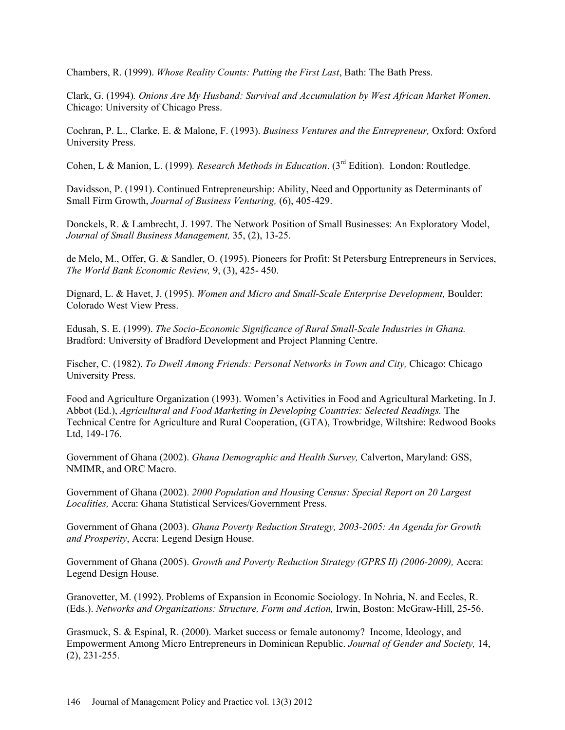Chambers, R. (1999). *Whose Reality Counts: Putting the First Last*, Bath: The Bath Press.

Clark, G. (1994)*. Onions Are My Husband: Survival and Accumulation by West African Market Women*. Chicago: University of Chicago Press.

Cochran, P. L., Clarke, E. & Malone, F. (1993). *Business Ventures and the Entrepreneur,* Oxford: Oxford University Press.

Cohen, L & Manion, L. (1999)*. Research Methods in Education*. (3rd Edition). London: Routledge.

Davidsson, P. (1991). Continued Entrepreneurship: Ability, Need and Opportunity as Determinants of Small Firm Growth, *Journal of Business Venturing,* (6), 405-429.

Donckels, R. & Lambrecht, J. 1997. The Network Position of Small Businesses: An Exploratory Model, *Journal of Small Business Management,* 35, (2), 13-25.

de Melo, M., Offer, G. & Sandler, O. (1995). Pioneers for Profit: St Petersburg Entrepreneurs in Services, *The World Bank Economic Review,* 9, (3), 425- 450.

Dignard, L. & Havet, J. (1995). *Women and Micro and Small-Scale Enterprise Development,* Boulder: Colorado West View Press.

Edusah, S. E. (1999). *The Socio-Economic Significance of Rural Small-Scale Industries in Ghana.* Bradford: University of Bradford Development and Project Planning Centre.

Fischer, C. (1982). *To Dwell Among Friends: Personal Networks in Town and City,* Chicago: Chicago University Press.

Food and Agriculture Organization (1993). Women's Activities in Food and Agricultural Marketing. In J. Abbot (Ed.), *Agricultural and Food Marketing in Developing Countries: Selected Readings.* The Technical Centre for Agriculture and Rural Cooperation, (GTA), Trowbridge, Wiltshire: Redwood Books Ltd, 149-176.

Government of Ghana (2002). *Ghana Demographic and Health Survey,* Calverton, Maryland: GSS, NMIMR, and ORC Macro.

Government of Ghana (2002). *2000 Population and Housing Census: Special Report on 20 Largest Localities,* Accra: Ghana Statistical Services/Government Press.

Government of Ghana (2003). *Ghana Poverty Reduction Strategy, 2003-2005: An Agenda for Growth and Prosperity*, Accra: Legend Design House.

Government of Ghana (2005). *Growth and Poverty Reduction Strategy (GPRS II) (2006-2009),* Accra: Legend Design House.

Granovetter, M. (1992). Problems of Expansion in Economic Sociology. In Nohria, N. and Eccles, R. (Eds.). *Networks and Organizations: Structure, Form and Action,* Irwin, Boston: McGraw-Hill, 25-56.

Grasmuck, S. & Espinal, R. (2000). Market success or female autonomy? Income, Ideology, and Empowerment Among Micro Entrepreneurs in Dominican Republic. *Journal of Gender and Society,* 14, (2), 231-255.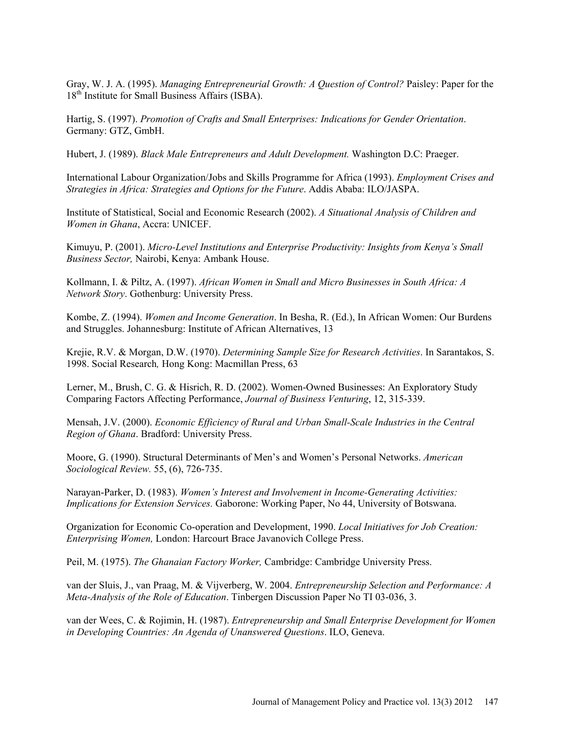Gray, W. J. A. (1995). *Managing Entrepreneurial Growth: A Question of Control?* Paisley: Paper for the 18<sup>th</sup> Institute for Small Business Affairs (ISBA).

Hartig, S. (1997). *Promotion of Crafts and Small Enterprises: Indications for Gender Orientation*. Germany: GTZ, GmbH.

Hubert, J. (1989). *Black Male Entrepreneurs and Adult Development.* Washington D.C: Praeger.

International Labour Organization/Jobs and Skills Programme for Africa (1993). *Employment Crises and Strategies in Africa: Strategies and Options for the Future*. Addis Ababa: ILO/JASPA.

Institute of Statistical, Social and Economic Research (2002). *A Situational Analysis of Children and Women in Ghana*, Accra: UNICEF.

Kimuyu, P. (2001). *Micro-Level Institutions and Enterprise Productivity: Insights from Kenya's Small Business Sector,* Nairobi, Kenya: Ambank House.

Kollmann, I. & Piltz, A. (1997). *African Women in Small and Micro Businesses in South Africa: A Network Story*. Gothenburg: University Press.

Kombe, Z. (1994). *Women and Income Generation*. In Besha, R. (Ed.), In African Women: Our Burdens and Struggles. Johannesburg: Institute of African Alternatives, 13

Krejie, R.V. & Morgan, D.W. (1970). *Determining Sample Size for Research Activities*. In Sarantakos, S. 1998. Social Research*,* Hong Kong: Macmillan Press, 63

Lerner, M., Brush, C. G. & Hisrich, R. D. (2002). Women-Owned Businesses: An Exploratory Study Comparing Factors Affecting Performance, *Journal of Business Venturing*, 12, 315-339.

Mensah, J.V. (2000). *Economic Efficiency of Rural and Urban Small-Scale Industries in the Central Region of Ghana*. Bradford: University Press.

Moore, G. (1990). Structural Determinants of Men's and Women's Personal Networks. *American Sociological Review.* 55, (6), 726-735.

Narayan-Parker, D. (1983). *Women's Interest and Involvement in Income-Generating Activities: Implications for Extension Services.* Gaborone: Working Paper, No 44, University of Botswana.

Organization for Economic Co-operation and Development, 1990. *Local Initiatives for Job Creation: Enterprising Women,* London: Harcourt Brace Javanovich College Press.

Peil, M. (1975). *The Ghanaian Factory Worker,* Cambridge: Cambridge University Press.

van der Sluis, J., van Praag, M. & Vijverberg, W. 2004. *Entrepreneurship Selection and Performance: A Meta-Analysis of the Role of Education*. Tinbergen Discussion Paper No TI 03-036, 3.

van der Wees, C. & Rojimin, H. (1987). *Entrepreneurship and Small Enterprise Development for Women in Developing Countries: An Agenda of Unanswered Questions*. ILO, Geneva.